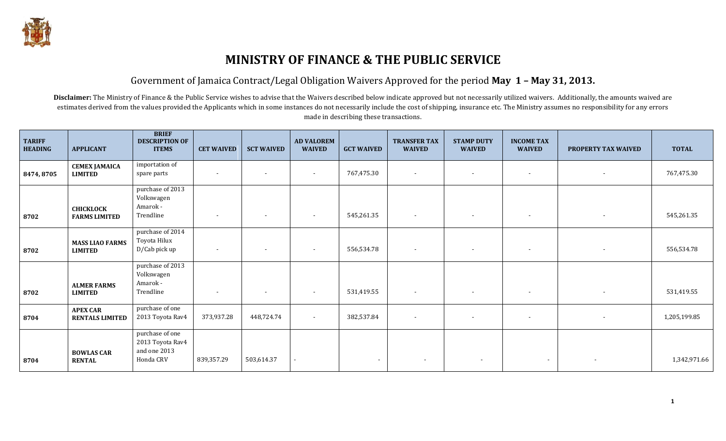

## **MINISTRY OF FINANCE & THE PUBLIC SERVICE**

#### Government of Jamaica Contract/Legal Obligation Waivers Approved for the period **May 1 – May 31, 2013.**

Disclaimer: The Ministry of Finance & the Public Service wishes to advise that the Waivers described below indicate approved but not necessarily utilized waivers. Additionally, the amounts waived are estimates derived from the values provided the Applicants which in some instances do not necessarily include the cost of shipping, insurance etc. The Ministry assumes no responsibility for any errors made in describing these transactions.

| <b>TARIFF</b><br><b>HEADING</b> | <b>APPLICANT</b>                          | <b>BRIEF</b><br><b>DESCRIPTION OF</b><br><b>ITEMS</b>            | <b>CET WAIVED</b>        | <b>SCT WAIVED</b>        | <b>AD VALOREM</b><br><b>WAIVED</b> | <b>GCT WAIVED</b>        | <b>TRANSFER TAX</b><br><b>WAIVED</b> | <b>STAMP DUTY</b><br><b>WAIVED</b> | <b>INCOME TAX</b><br><b>WAIVED</b> | <b>PROPERTY TAX WAIVED</b> | <b>TOTAL</b> |
|---------------------------------|-------------------------------------------|------------------------------------------------------------------|--------------------------|--------------------------|------------------------------------|--------------------------|--------------------------------------|------------------------------------|------------------------------------|----------------------------|--------------|
| 8474, 8705                      | <b>CEMEX JAMAICA</b><br><b>LIMITED</b>    | importation of<br>spare parts                                    | $\overline{\phantom{0}}$ | $\overline{\phantom{a}}$ | $\overline{\phantom{a}}$           | 767,475.30               | $\overline{\phantom{a}}$             | $\overline{\phantom{0}}$           | $\blacksquare$                     | $\overline{\phantom{a}}$   | 767,475.30   |
| 8702                            | <b>CHICKLOCK</b><br><b>FARMS LIMITED</b>  | purchase of 2013<br>Volkswagen<br>Amarok -<br>Trendline          | $\overline{\phantom{0}}$ | $\overline{\phantom{a}}$ | $\overline{\phantom{a}}$           | 545,261.35               | $\overline{\phantom{a}}$             | $\sim$                             | $\blacksquare$                     | $\overline{\phantom{a}}$   | 545,261.35   |
| 8702                            | <b>MASS LIAO FARMS</b><br><b>LIMITED</b>  | purchase of 2014<br>Toyota Hilux<br>D/Cab pick up                | $\overline{\phantom{0}}$ | $\overline{\phantom{a}}$ | $\overline{\phantom{a}}$           | 556,534.78               | $\overline{\phantom{0}}$             | $\overline{\phantom{0}}$           |                                    |                            | 556,534.78   |
| 8702                            | <b>ALMER FARMS</b><br><b>LIMITED</b>      | purchase of 2013<br>Volkswagen<br>Amarok -<br>Trendline          | $\overline{\phantom{0}}$ | $\overline{\phantom{a}}$ | $\overline{\phantom{a}}$           | 531,419.55               | $\sim$                               | $\sim$                             | $\blacksquare$                     | $\overline{\phantom{a}}$   | 531,419.55   |
| 8704                            | <b>APEX CAR</b><br><b>RENTALS LIMITED</b> | purchase of one<br>2013 Toyota Rav4                              | 373,937.28               | 448,724.74               | $\blacksquare$                     | 382,537.84               | $\overline{\phantom{a}}$             | $\sim$                             | $\overline{\phantom{a}}$           | $\overline{\phantom{a}}$   | 1,205,199.85 |
| 8704                            | <b>BOWLAS CAR</b><br><b>RENTAL</b>        | purchase of one<br>2013 Toyota Rav4<br>and one 2013<br>Honda CRV | 839,357.29               | 503,614.37               |                                    | $\overline{\phantom{a}}$ | $\overline{\phantom{a}}$             | $\overline{\phantom{a}}$           | $\overline{\phantom{a}}$           |                            | 1,342,971.66 |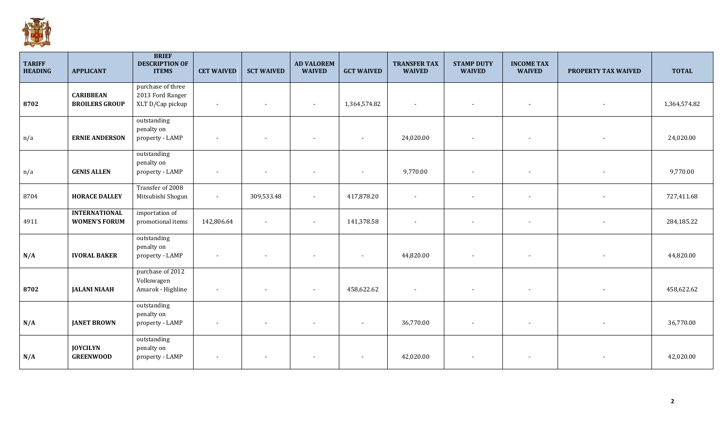

| <b>TARIFF</b><br><b>HEADING</b> | <b>APPLICANT</b>                             | <b>BRIEF</b><br><b>DESCRIPTION OF</b><br><b>ITEMS</b>     | <b>CET WAIVED</b>        | <b>SCT WAIVED</b>        | <b>AD VALOREM</b><br><b>WAIVED</b> | <b>GCT WAIVED</b>        | <b>TRANSFER TAX</b><br><b>WAIVED</b> | <b>STAMP DUTY</b><br><b>WAIVED</b> | <b>INCOME TAX</b><br><b>WAIVED</b> | PROPERTY TAX WAIVED      | <b>TOTAL</b> |
|---------------------------------|----------------------------------------------|-----------------------------------------------------------|--------------------------|--------------------------|------------------------------------|--------------------------|--------------------------------------|------------------------------------|------------------------------------|--------------------------|--------------|
| 8702                            | <b>CARIBBEAN</b><br><b>BROILERS GROUP</b>    | purchase of three<br>2013 Ford Ranger<br>XLT D/Cap pickup | $\sim$                   | $\sim$                   |                                    | 1,364,574.82             | $\overline{a}$                       |                                    |                                    |                          | 1,364,574.82 |
| n/a                             | <b>ERNIE ANDERSON</b>                        | outstanding<br>penalty on<br>property - LAMP              | $\overline{\phantom{a}}$ | $\overline{\phantom{a}}$ |                                    |                          | 24,020.00                            |                                    |                                    |                          | 24,020.00    |
| n/a                             | <b>GENIS ALLEN</b>                           | outstanding<br>penalty on<br>property - LAMP              | $\overline{\phantom{a}}$ | $\overline{\phantom{a}}$ |                                    | $\overline{\phantom{a}}$ | 9,770.00                             |                                    | $\overline{\phantom{a}}$           |                          | 9,770.00     |
| 8704                            | <b>HORACE DALLEY</b>                         | Transfer of 2008<br>Mitsubishi Shogun                     | $\overline{\phantom{a}}$ | 309,533.48               | $\sim$                             | 417,878.20               | $\sim$                               | $\blacksquare$                     | $\overline{\phantom{a}}$           | $\overline{\phantom{a}}$ | 727,411.68   |
| 4911                            | <b>INTERNATIONAL</b><br><b>WOMEN'S FORUM</b> | importation of<br>promotional items                       | 142,806.64               | $\overline{\phantom{a}}$ | $\blacksquare$                     | 141,378.58               | $\blacksquare$                       | $\blacksquare$                     |                                    |                          | 284,185.22   |
| N/A                             | <b>IVORAL BAKER</b>                          | outstanding<br>penalty on<br>property - LAMP              | $\overline{\phantom{a}}$ | $\overline{\phantom{a}}$ |                                    |                          | 44,820.00                            |                                    |                                    |                          | 44,820.00    |
| 8702                            | <b>JALANI NIAAH</b>                          | purchase of 2012<br>Volkswagen<br>Amarok - Highline       | $\overline{\phantom{a}}$ | $\overline{\phantom{a}}$ |                                    | 458,622.62               | $\sim$                               |                                    |                                    |                          | 458,622.62   |
| N/A                             | <b>JANET BROWN</b>                           | outstanding<br>penalty on<br>property - LAMP              | $\overline{\phantom{a}}$ | $\overline{\phantom{a}}$ |                                    |                          | 36,770.00                            |                                    |                                    |                          | 36,770.00    |
| N/A                             | <b>JOYCILYN</b><br><b>GREENWOOD</b>          | outstanding<br>penalty on<br>property - LAMP              | $\overline{\phantom{a}}$ | $\overline{\phantom{a}}$ |                                    |                          | 42,020.00                            |                                    |                                    |                          | 42,020.00    |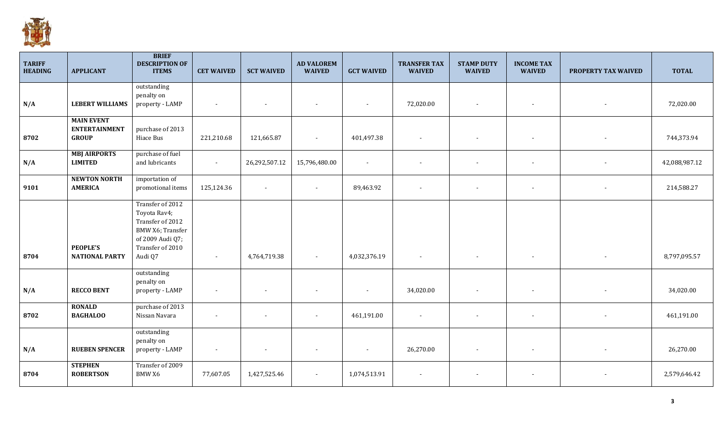

| <b>TARIFF</b><br><b>HEADING</b> | <b>APPLICANT</b>                                          | <b>BRIEF</b><br><b>DESCRIPTION OF</b><br><b>ITEMS</b>                                                                       | <b>CET WAIVED</b>        | <b>SCT WAIVED</b>        | <b>AD VALOREM</b><br><b>WAIVED</b> | <b>GCT WAIVED</b>        | <b>TRANSFER TAX</b><br><b>WAIVED</b> | <b>STAMP DUTY</b><br><b>WAIVED</b> | <b>INCOME TAX</b><br><b>WAIVED</b> | PROPERTY TAX WAIVED | <b>TOTAL</b>  |
|---------------------------------|-----------------------------------------------------------|-----------------------------------------------------------------------------------------------------------------------------|--------------------------|--------------------------|------------------------------------|--------------------------|--------------------------------------|------------------------------------|------------------------------------|---------------------|---------------|
| N/A                             | <b>LEBERT WILLIAMS</b>                                    | outstanding<br>penalty on<br>property - LAMP                                                                                |                          |                          |                                    |                          | 72,020.00                            | $\overline{\phantom{a}}$           | $\overline{\phantom{a}}$           |                     | 72,020.00     |
| 8702                            | <b>MAIN EVENT</b><br><b>ENTERTAINMENT</b><br><b>GROUP</b> | purchase of 2013<br>Hiace Bus                                                                                               | 221,210.68               | 121,665.87               | $\sim$                             | 401,497.38               | $\overline{\phantom{a}}$             | $\overline{\phantom{a}}$           | $\overline{\phantom{a}}$           |                     | 744,373.94    |
| N/A                             | <b>MBJ AIRPORTS</b><br><b>LIMITED</b>                     | purchase of fuel<br>and lubricants                                                                                          | $\sim$                   | 26,292,507.12            | 15,796,480.00                      | $\overline{\phantom{a}}$ |                                      | $\blacksquare$                     | $\overline{\phantom{a}}$           |                     | 42,088,987.12 |
| 9101                            | <b>NEWTON NORTH</b><br><b>AMERICA</b>                     | importation of<br>promotional items                                                                                         | 125,124.36               | $\sim$                   | $\sim$                             | 89,463.92                |                                      | $\overline{\phantom{a}}$           | $\overline{\phantom{a}}$           |                     | 214,588.27    |
| 8704                            | <b>PEOPLE'S</b><br><b>NATIONAL PARTY</b>                  | Transfer of 2012<br>Toyota Rav4;<br>Transfer of 2012<br>BMW X6; Transfer<br>of 2009 Audi Q7;<br>Transfer of 2010<br>Audi Q7 | $\sim$                   | 4,764,719.38             | $\sim$                             | 4,032,376.19             | $\overline{a}$                       | $\overline{\phantom{a}}$           | $\overline{\phantom{a}}$           |                     | 8,797,095.57  |
| N/A                             | <b>RECCO BENT</b>                                         | outstanding<br>penalty on<br>property - LAMP                                                                                | $\overline{\phantom{a}}$ | $\sim$                   |                                    |                          | 34,020.00                            |                                    | $\overline{\phantom{a}}$           |                     | 34,020.00     |
| 8702                            | <b>RONALD</b><br><b>BAGHALOO</b>                          | purchase of 2013<br>Nissan Navara                                                                                           |                          | $\overline{\phantom{a}}$ |                                    | 461,191.00               |                                      |                                    | $\overline{\phantom{a}}$           |                     | 461,191.00    |
| N/A                             | <b>RUEBEN SPENCER</b>                                     | outstanding<br>penalty on<br>property - LAMP                                                                                |                          |                          |                                    |                          | 26,270.00                            |                                    | $\overline{\phantom{a}}$           |                     | 26,270.00     |
| 8704                            | <b>STEPHEN</b><br><b>ROBERTSON</b>                        | Transfer of 2009<br><b>BMW X6</b>                                                                                           | 77,607.05                | 1,427,525.46             | $\sim$                             | 1,074,513.91             |                                      | $\overline{\phantom{a}}$           | $\overline{\phantom{a}}$           |                     | 2,579,646.42  |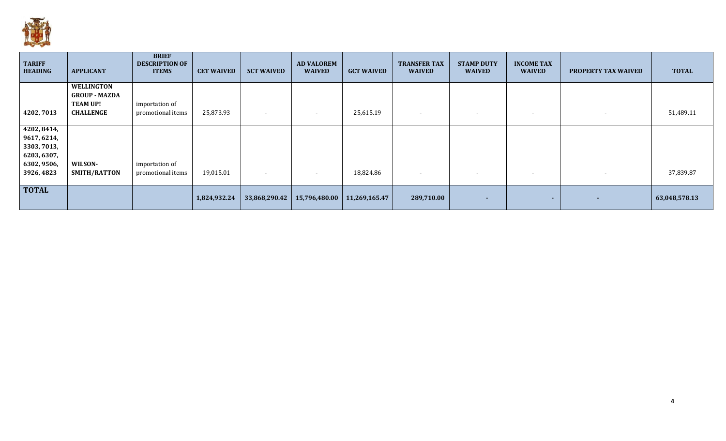

| <b>TARIFF</b><br><b>HEADING</b> | <b>APPLICANT</b>     | <b>BRIEF</b><br><b>DESCRIPTION OF</b><br><b>ITEMS</b> | <b>CET WAIVED</b> | <b>SCT WAIVED</b>        | <b>AD VALOREM</b><br><b>WAIVED</b> | <b>GCT WAIVED</b> | <b>TRANSFER TAX</b><br><b>WAIVED</b> | <b>STAMP DUTY</b><br><b>WAIVED</b> | <b>INCOME TAX</b><br><b>WAIVED</b> | <b>PROPERTY TAX WAIVED</b> | <b>TOTAL</b>  |
|---------------------------------|----------------------|-------------------------------------------------------|-------------------|--------------------------|------------------------------------|-------------------|--------------------------------------|------------------------------------|------------------------------------|----------------------------|---------------|
|                                 | <b>WELLINGTON</b>    |                                                       |                   |                          |                                    |                   |                                      |                                    |                                    |                            |               |
|                                 | <b>GROUP - MAZDA</b> |                                                       |                   |                          |                                    |                   |                                      |                                    |                                    |                            |               |
|                                 | <b>TEAM UP!</b>      | importation of                                        |                   |                          |                                    |                   |                                      |                                    |                                    |                            |               |
| 4202,7013                       | <b>CHALLENGE</b>     | promotional items                                     | 25,873.93         | $\overline{\phantom{a}}$ | $\sim$                             | 25,615.19         | $\overline{\phantom{0}}$             | $\overline{\phantom{0}}$           | $\sim$                             | $\overline{\phantom{a}}$   | 51,489.11     |
| 4202, 8414,                     |                      |                                                       |                   |                          |                                    |                   |                                      |                                    |                                    |                            |               |
| 9617, 6214,                     |                      |                                                       |                   |                          |                                    |                   |                                      |                                    |                                    |                            |               |
| 3303, 7013,                     |                      |                                                       |                   |                          |                                    |                   |                                      |                                    |                                    |                            |               |
| 6203, 6307,                     |                      |                                                       |                   |                          |                                    |                   |                                      |                                    |                                    |                            |               |
| 6302, 9506,                     | WILSON-              | importation of                                        |                   |                          |                                    |                   |                                      |                                    |                                    |                            |               |
| 3926, 4823                      | SMITH/RATTON         | promotional items                                     | 19,015.01         | $\sim$                   |                                    | 18,824.86         | $\overline{\phantom{0}}$             | $\overline{\phantom{0}}$           | $\sim$                             | $\overline{\phantom{a}}$   | 37,839.87     |
|                                 |                      |                                                       |                   |                          |                                    |                   |                                      |                                    |                                    |                            |               |
| <b>TOTAL</b>                    |                      |                                                       |                   |                          |                                    |                   |                                      |                                    |                                    |                            |               |
|                                 |                      |                                                       | 1,824,932.24      | 33,868,290.42            | 15,796,480.00                      | 11,269,165.47     | 289,710.00                           | ۰                                  | ۰.                                 | ۰                          | 63,048,578.13 |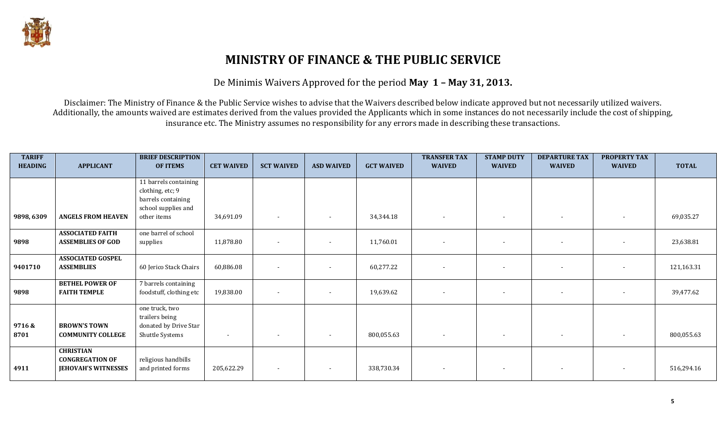

# **MINISTRY OF FINANCE & THE PUBLIC SERVICE**

De Minimis Waivers Approved for the period **May 1 – May 31, 2013.**

Disclaimer: The Ministry of Finance & the Public Service wishes to advise that the Waivers described below indicate approved but not necessarily utilized waivers. Additionally, the amounts waived are estimates derived from the values provided the Applicants which in some instances do not necessarily include the cost of shipping, insurance etc. The Ministry assumes no responsibility for any errors made in describing these transactions.

| <b>TARIFF</b><br><b>HEADING</b> | <b>APPLICANT</b>                                                         | <b>BRIEF DESCRIPTION</b><br><b>OF ITEMS</b>                                            | <b>CET WAIVED</b> | <b>SCT WAIVED</b>        | <b>ASD WAIVED</b>        | <b>GCT WAIVED</b> | <b>TRANSFER TAX</b><br><b>WAIVED</b> | <b>STAMP DUTY</b><br><b>WAIVED</b> | <b>DEPARTURE TAX</b><br><b>WAIVED</b> | <b>PROPERTY TAX</b><br><b>WAIVED</b> | <b>TOTAL</b> |
|---------------------------------|--------------------------------------------------------------------------|----------------------------------------------------------------------------------------|-------------------|--------------------------|--------------------------|-------------------|--------------------------------------|------------------------------------|---------------------------------------|--------------------------------------|--------------|
|                                 |                                                                          | 11 barrels containing<br>clothing, etc; 9<br>barrels containing<br>school supplies and |                   |                          |                          |                   |                                      |                                    |                                       |                                      |              |
| 9898, 6309                      | <b>ANGELS FROM HEAVEN</b>                                                | other items                                                                            | 34,691.09         | $\overline{\phantom{a}}$ |                          | 34,344.18         |                                      |                                    | $\overline{\phantom{a}}$              |                                      | 69,035.27    |
| 9898                            | <b>ASSOCIATED FAITH</b><br><b>ASSEMBLIES OF GOD</b>                      | one barrel of school<br>supplies                                                       | 11,878.80         | $\overline{\phantom{a}}$ |                          | 11,760.01         |                                      | $\overline{\phantom{a}}$           | $\overline{a}$                        | $\blacksquare$                       | 23,638.81    |
| 9401710                         | <b>ASSOCIATED GOSPEL</b><br><b>ASSEMBLIES</b>                            | 60 Jerico Stack Chairs                                                                 | 60,886.08         | $\sim$                   |                          | 60,277.22         |                                      | $\overline{\phantom{a}}$           | $\blacksquare$                        | $\blacksquare$                       | 121,163.31   |
| 9898                            | <b>BETHEL POWER OF</b><br><b>FAITH TEMPLE</b>                            | 7 barrels containing<br>foodstuff, clothing etc                                        | 19,838.00         |                          |                          | 19,639.62         |                                      | $\overline{\phantom{a}}$           | $\overline{\phantom{a}}$              |                                      | 39,477.62    |
| 9716&<br>8701                   | <b>BROWN'S TOWN</b><br><b>COMMUNITY COLLEGE</b>                          | one truck, two<br>trailers being<br>donated by Drive Star<br>Shuttle Systems           |                   |                          |                          | 800,055.63        |                                      | $\overline{\phantom{a}}$           | $\overline{\phantom{a}}$              |                                      | 800,055.63   |
| 4911                            | <b>CHRISTIAN</b><br><b>CONGREGATION OF</b><br><b>JEHOVAH'S WITNESSES</b> | religious handbills<br>and printed forms                                               | 205,622.29        | $\overline{\phantom{a}}$ | $\overline{\phantom{a}}$ | 338,730.34        | $\blacksquare$                       | $\overline{\phantom{a}}$           | $\sim$                                | $\overline{\phantom{a}}$             | 516,294.16   |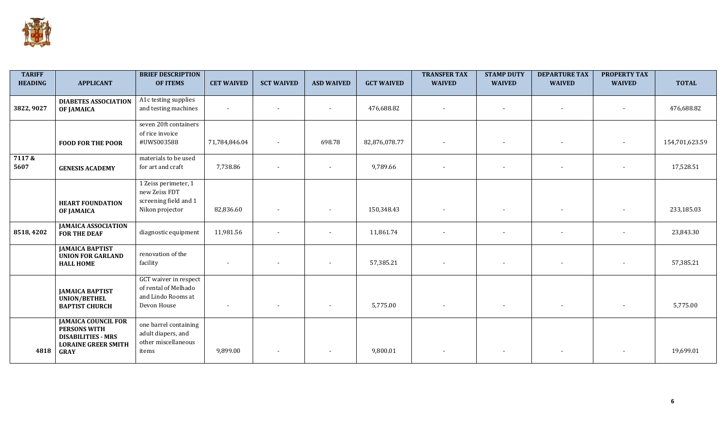

| <b>TARIFF</b><br><b>HEADING</b> | <b>APPLICANT</b>                                                                                                            | <b>BRIEF DESCRIPTION</b><br><b>OF ITEMS</b>                                        | <b>CET WAIVED</b>        | <b>SCT WAIVED</b> | <b>ASD WAIVED</b>        | <b>GCT WAIVED</b> | <b>TRANSFER TAX</b><br><b>WAIVED</b> | <b>STAMP DUTY</b><br><b>WAIVED</b> | <b>DEPARTURE TAX</b><br><b>WAIVED</b> | <b>PROPERTY TAX</b><br><b>WAIVED</b> | <b>TOTAL</b>   |
|---------------------------------|-----------------------------------------------------------------------------------------------------------------------------|------------------------------------------------------------------------------------|--------------------------|-------------------|--------------------------|-------------------|--------------------------------------|------------------------------------|---------------------------------------|--------------------------------------|----------------|
| 3822, 9027                      | <b>DIABETES ASSOCIATION</b><br><b>OF JAMAICA</b>                                                                            | A1c testing supplies<br>and testing machines                                       | $\blacksquare$           |                   |                          | 476,688.82        |                                      |                                    | $\sim$                                | $\overline{\phantom{a}}$             | 476,688.82     |
|                                 | <b>FOOD FOR THE POOR</b>                                                                                                    | seven 20ft containers<br>of rice invoice<br>#UWS003588                             | 71,784,846.04            | $\sim$            | 698.78                   | 82,876,078.77     |                                      |                                    | $\overline{\phantom{a}}$              |                                      | 154,701,623.59 |
| 7117&<br>5607                   | <b>GENESIS ACADEMY</b>                                                                                                      | materials to be used<br>for art and craft                                          | 7,738.86                 |                   |                          | 9,789.66          |                                      |                                    |                                       |                                      | 17,528.51      |
|                                 | <b>HEART FOUNDATION</b><br>OF JAMAICA                                                                                       | 1 Zeiss perimeter, 1<br>new Zeiss FDT<br>screening field and 1<br>Nikon projector  | 82,836.60                | $\blacksquare$    |                          | 150,348.43        |                                      |                                    | $\overline{\phantom{a}}$              |                                      | 233,185.03     |
| 8518, 4202                      | <b>JAMAICA ASSOCIATION</b><br><b>FOR THE DEAF</b>                                                                           | diagnostic equipment                                                               | 11,981.56                |                   |                          | 11,861.74         |                                      |                                    | $\sim$                                | $\blacksquare$                       | 23,843.30      |
|                                 | <b>JAMAICA BAPTIST</b><br><b>UNION FOR GARLAND</b><br><b>HALL HOME</b>                                                      | renovation of the<br>facility                                                      |                          |                   |                          | 57,385.21         |                                      | $\overline{\phantom{a}}$           | $\overline{\phantom{a}}$              |                                      | 57,385.21      |
|                                 | <b>JAMAICA BAPTIST</b><br><b>UNION/BETHEL</b><br><b>BAPTIST CHURCH</b>                                                      | GCT waiver in respect<br>of rental of Melhado<br>and Lindo Rooms at<br>Devon House | $\overline{\phantom{a}}$ |                   | $\overline{\phantom{a}}$ | 5,775.00          |                                      | $\overline{\phantom{a}}$           | $\sim$                                | $\overline{\phantom{a}}$             | 5,775.00       |
| 4818                            | <b>JAMAICA COUNCIL FOR</b><br><b>PERSONS WITH</b><br><b>DISABILITIES - MRS</b><br><b>LORAINE GREER SMITH</b><br><b>GRAY</b> | one barrel containing<br>adult diapers, and<br>other miscellaneous<br>items        | 9,899.00                 |                   |                          | 9,800.01          |                                      |                                    |                                       |                                      | 19,699.01      |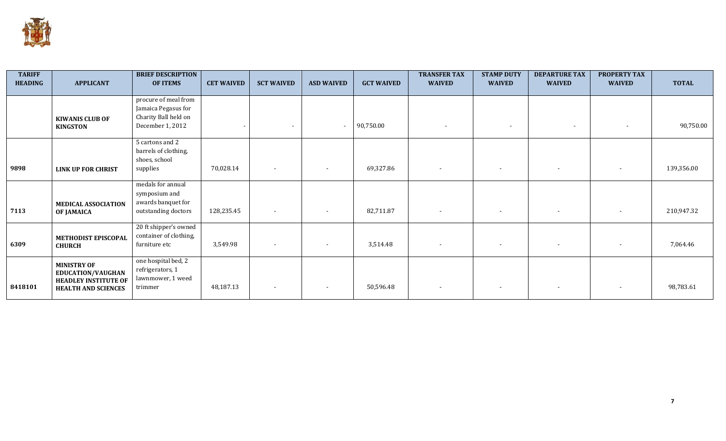

| <b>TARIFF</b><br><b>HEADING</b> | <b>APPLICANT</b>            | <b>BRIEF DESCRIPTION</b><br><b>OF ITEMS</b> | <b>CET WAIVED</b> | <b>SCT WAIVED</b>        | <b>ASD WAIVED</b>        | <b>GCT WAIVED</b> | <b>TRANSFER TAX</b><br><b>WAIVED</b> | <b>STAMP DUTY</b><br><b>WAIVED</b> | <b>DEPARTURE TAX</b><br><b>WAIVED</b> | <b>PROPERTY TAX</b><br><b>WAIVED</b> | <b>TOTAL</b> |
|---------------------------------|-----------------------------|---------------------------------------------|-------------------|--------------------------|--------------------------|-------------------|--------------------------------------|------------------------------------|---------------------------------------|--------------------------------------|--------------|
|                                 |                             | procure of meal from                        |                   |                          |                          |                   |                                      |                                    |                                       |                                      |              |
|                                 |                             | Jamaica Pegasus for                         |                   |                          |                          |                   |                                      |                                    |                                       |                                      |              |
|                                 | <b>KIWANIS CLUB OF</b>      | Charity Ball held on<br>December 1, 2012    |                   |                          | $\overline{\phantom{a}}$ | 90,750.00         |                                      | $\overline{\phantom{a}}$           | $\overline{\phantom{a}}$              | $\overline{\phantom{a}}$             | 90,750.00    |
|                                 | <b>KINGSTON</b>             |                                             |                   |                          |                          |                   |                                      |                                    |                                       |                                      |              |
|                                 |                             | 5 cartons and 2                             |                   |                          |                          |                   |                                      |                                    |                                       |                                      |              |
|                                 |                             | barrels of clothing,                        |                   |                          |                          |                   |                                      |                                    |                                       |                                      |              |
|                                 |                             | shoes, school                               |                   |                          |                          |                   |                                      |                                    |                                       |                                      |              |
| 9898                            | <b>LINK UP FOR CHRIST</b>   | supplies                                    | 70,028.14         | $\overline{\phantom{a}}$ | $\sim$                   | 69,327.86         | $\overline{\phantom{a}}$             |                                    |                                       | $\overline{\phantom{a}}$             | 139,356.00   |
|                                 |                             | medals for annual                           |                   |                          |                          |                   |                                      |                                    |                                       |                                      |              |
|                                 |                             | symposium and                               |                   |                          |                          |                   |                                      |                                    |                                       |                                      |              |
|                                 | <b>MEDICAL ASSOCIATION</b>  | awards banquet for                          |                   |                          |                          |                   |                                      |                                    |                                       |                                      |              |
| 7113                            | OF JAMAICA                  | outstanding doctors                         | 128,235.45        | $\sim$                   | $\sim$                   | 82,711.87         | $\sim$                               | $\overline{\phantom{a}}$           | $\overline{\phantom{a}}$              | $\sim$                               | 210,947.32   |
|                                 |                             | 20 ft shipper's owned                       |                   |                          |                          |                   |                                      |                                    |                                       |                                      |              |
|                                 | METHODIST EPISCOPAL         | container of clothing,                      |                   |                          |                          |                   |                                      |                                    |                                       |                                      |              |
| 6309                            | <b>CHURCH</b>               | furniture etc                               | 3,549.98          |                          | $\sim$                   | 3,514.48          | $\overline{\phantom{a}}$             |                                    |                                       |                                      | 7,064.46     |
|                                 | <b>MINISTRY OF</b>          | one hospital bed, 2                         |                   |                          |                          |                   |                                      |                                    |                                       |                                      |              |
|                                 | EDUCATION/VAUGHAN           | refrigerators, 1                            |                   |                          |                          |                   |                                      |                                    |                                       |                                      |              |
|                                 | <b>HEADLEY INSTITUTE OF</b> | lawnmower, 1 weed                           |                   |                          |                          |                   |                                      |                                    |                                       |                                      |              |
| 8418101                         | <b>HEALTH AND SCIENCES</b>  | trimmer                                     | 48,187.13         | $\blacksquare$           | $\sim$                   | 50,596.48         | $\overline{\phantom{a}}$             |                                    |                                       |                                      | 98,783.61    |
|                                 |                             |                                             |                   |                          |                          |                   |                                      |                                    |                                       |                                      |              |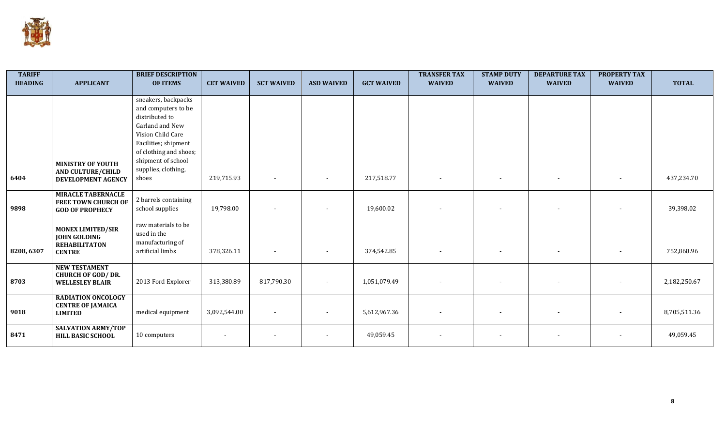

| <b>TARIFF</b>  |                                                  | <b>BRIEF DESCRIPTION</b> |                   |                   |                   |                   | <b>TRANSFER TAX</b> | <b>STAMP DUTY</b> | <b>DEPARTURE TAX</b> | <b>PROPERTY TAX</b> |              |
|----------------|--------------------------------------------------|--------------------------|-------------------|-------------------|-------------------|-------------------|---------------------|-------------------|----------------------|---------------------|--------------|
| <b>HEADING</b> | <b>APPLICANT</b>                                 | <b>OF ITEMS</b>          | <b>CET WAIVED</b> | <b>SCT WAIVED</b> | <b>ASD WAIVED</b> | <b>GCT WAIVED</b> | <b>WAIVED</b>       | <b>WAIVED</b>     | <b>WAIVED</b>        | <b>WAIVED</b>       | <b>TOTAL</b> |
|                |                                                  | sneakers, backpacks      |                   |                   |                   |                   |                     |                   |                      |                     |              |
|                |                                                  | and computers to be      |                   |                   |                   |                   |                     |                   |                      |                     |              |
|                |                                                  | distributed to           |                   |                   |                   |                   |                     |                   |                      |                     |              |
|                |                                                  | Garland and New          |                   |                   |                   |                   |                     |                   |                      |                     |              |
|                |                                                  | Vision Child Care        |                   |                   |                   |                   |                     |                   |                      |                     |              |
|                |                                                  | Facilities; shipment     |                   |                   |                   |                   |                     |                   |                      |                     |              |
|                |                                                  | of clothing and shoes;   |                   |                   |                   |                   |                     |                   |                      |                     |              |
|                | <b>MINISTRY OF YOUTH</b>                         | shipment of school       |                   |                   |                   |                   |                     |                   |                      |                     |              |
|                | <b>AND CULTURE/CHILD</b>                         | supplies, clothing,      |                   |                   |                   |                   |                     |                   |                      |                     |              |
| 6404           | DEVELOPMENT AGENCY                               | shoes                    | 219,715.93        |                   |                   | 217,518.77        |                     |                   |                      |                     | 437,234.70   |
|                |                                                  |                          |                   |                   |                   |                   |                     |                   |                      |                     |              |
|                | <b>MIRACLE TABERNACLE</b>                        | 2 barrels containing     |                   |                   |                   |                   |                     |                   |                      |                     |              |
| 9898           | <b>FREE TOWN CHURCH OF</b>                       | school supplies          | 19,798.00         |                   |                   | 19,600.02         |                     |                   |                      |                     | 39,398.02    |
|                | <b>GOD OF PROPHECY</b>                           |                          |                   |                   |                   |                   |                     |                   |                      |                     |              |
|                | <b>MONEX LIMITED/SIR</b>                         | raw materials to be      |                   |                   |                   |                   |                     |                   |                      |                     |              |
|                | <b>JOHN GOLDING</b>                              | used in the              |                   |                   |                   |                   |                     |                   |                      |                     |              |
|                | <b>REHABILITATON</b>                             | manufacturing of         |                   |                   |                   |                   |                     |                   |                      |                     |              |
| 8208, 6307     | <b>CENTRE</b>                                    | artificial limbs         | 378,326.11        |                   |                   | 374,542.85        |                     |                   |                      |                     | 752,868.96   |
|                |                                                  |                          |                   |                   |                   |                   |                     |                   |                      |                     |              |
|                | <b>NEW TESTAMENT</b><br><b>CHURCH OF GOD/DR.</b> |                          |                   |                   |                   |                   |                     |                   |                      |                     |              |
| 8703           | <b>WELLESLEY BLAIR</b>                           | 2013 Ford Explorer       | 313,380.89        | 817,790.30        | $\blacksquare$    | 1,051,079.49      |                     |                   |                      |                     | 2,182,250.67 |
|                |                                                  |                          |                   |                   |                   |                   |                     |                   |                      |                     |              |
|                | <b>RADIATION ONCOLOGY</b>                        |                          |                   |                   |                   |                   |                     |                   |                      |                     |              |
| 9018           | <b>CENTRE OF JAMAICA</b>                         | medical equipment        | 3,092,544.00      |                   |                   | 5,612,967.36      |                     |                   |                      |                     | 8,705,511.36 |
|                | <b>LIMITED</b>                                   |                          |                   |                   |                   |                   |                     |                   |                      |                     |              |
|                | <b>SALVATION ARMY/TOP</b>                        |                          |                   |                   |                   |                   |                     |                   |                      |                     |              |
| 8471           | <b>HILL BASIC SCHOOL</b>                         | 10 computers             |                   |                   |                   | 49,059.45         | $\sim$              |                   |                      |                     | 49,059.45    |
|                |                                                  |                          |                   |                   |                   |                   |                     |                   |                      |                     |              |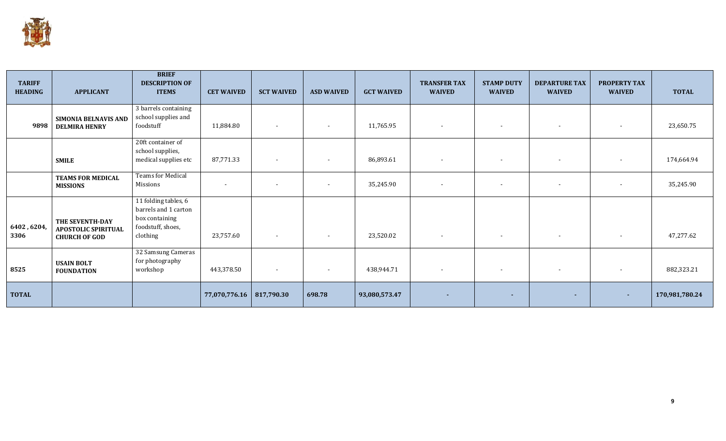

| <b>TARIFF</b><br><b>HEADING</b> | <b>APPLICANT</b>                                                      | <b>BRIEF</b><br><b>DESCRIPTION OF</b><br><b>ITEMS</b>                                           | <b>CET WAIVED</b>          | <b>SCT WAIVED</b>        | <b>ASD WAIVED</b>        | <b>GCT WAIVED</b> | <b>TRANSFER TAX</b><br><b>WAIVED</b> | <b>STAMP DUTY</b><br><b>WAIVED</b> | <b>DEPARTURE TAX</b><br><b>WAIVED</b> | <b>PROPERTY TAX</b><br><b>WAIVED</b> | <b>TOTAL</b>   |
|---------------------------------|-----------------------------------------------------------------------|-------------------------------------------------------------------------------------------------|----------------------------|--------------------------|--------------------------|-------------------|--------------------------------------|------------------------------------|---------------------------------------|--------------------------------------|----------------|
| 9898                            | <b>SIMONIA BELNAVIS AND</b><br><b>DELMIRA HENRY</b>                   | 3 barrels containing<br>school supplies and<br>foodstuff                                        | 11,884.80                  | $\overline{\phantom{a}}$ | $\overline{\phantom{a}}$ | 11,765.95         |                                      |                                    | $\overline{\phantom{a}}$              |                                      | 23,650.75      |
|                                 | <b>SMILE</b>                                                          | 20ft container of<br>school supplies,<br>medical supplies etc                                   | 87,771.33                  | $\overline{\phantom{a}}$ | $\overline{\phantom{a}}$ | 86,893.61         | $\overline{\phantom{a}}$             | $\overline{\phantom{a}}$           | $\overline{\phantom{a}}$              | $\sim$                               | 174,664.94     |
|                                 | <b>TEAMS FOR MEDICAL</b><br><b>MISSIONS</b>                           | <b>Teams for Medical</b><br>Missions                                                            |                            | $\overline{\phantom{a}}$ |                          | 35,245.90         |                                      |                                    | $\overline{\phantom{a}}$              | $\overline{\phantom{a}}$             | 35,245.90      |
| 6402, 6204,<br>3306             | THE SEVENTH-DAY<br><b>APOSTOLIC SPIRITUAL</b><br><b>CHURCH OF GOD</b> | 11 folding tables, 6<br>barrels and 1 carton<br>box containing<br>foodstuff, shoes,<br>clothing | 23,757.60                  | $\sim$                   | $\overline{\phantom{a}}$ | 23,520.02         | $\overline{\phantom{a}}$             | $\sim$                             | $\overline{\phantom{a}}$              | $\sim$                               | 47,277.62      |
| 8525                            | <b>USAIN BOLT</b><br><b>FOUNDATION</b>                                | 32 Samsung Cameras<br>for photography<br>workshop                                               | 443,378.50                 | $\sim$                   | $\overline{\phantom{a}}$ | 438,944.71        |                                      | $\sim$                             | $\overline{\phantom{a}}$              | $\overline{\phantom{a}}$             | 882,323.21     |
| <b>TOTAL</b>                    |                                                                       |                                                                                                 | 77,070,776.16   817,790.30 |                          | 698.78                   | 93,080,573.47     | $\sim$                               | ٠                                  | $\sim$                                | ж.                                   | 170,981,780.24 |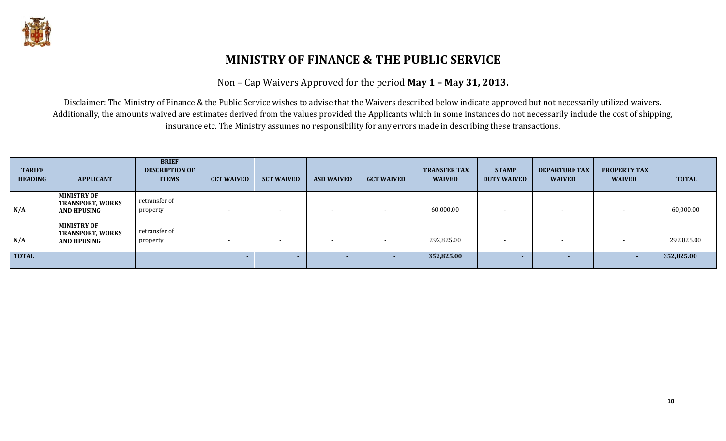

# **MINISTRY OF FINANCE & THE PUBLIC SERVICE**

Non – Cap Waivers Approved for the period **May 1 – May 31, 2013.**

Disclaimer: The Ministry of Finance & the Public Service wishes to advise that the Waivers described below indicate approved but not necessarily utilized waivers. Additionally, the amounts waived are estimates derived from the values provided the Applicants which in some instances do not necessarily include the cost of shipping, insurance etc. The Ministry assumes no responsibility for any errors made in describing these transactions.

| <b>TARIFF</b><br><b>HEADING</b> | <b>APPLICANT</b>                                                    | <b>BRIEF</b><br><b>DESCRIPTION OF</b><br><b>ITEMS</b> | <b>CET WAIVED</b> | <b>SCT WAIVED</b>        | <b>ASD WAIVED</b> | <b>GCT WAIVED</b> | <b>TRANSFER TAX</b><br><b>WAIVED</b> | <b>STAMP</b><br><b>DUTY WAIVED</b> | <b>DEPARTURE TAX</b><br><b>WAIVED</b> | <b>PROPERTY TAX</b><br><b>WAIVED</b> | <b>TOTAL</b> |
|---------------------------------|---------------------------------------------------------------------|-------------------------------------------------------|-------------------|--------------------------|-------------------|-------------------|--------------------------------------|------------------------------------|---------------------------------------|--------------------------------------|--------------|
| N/A                             | <b>MINISTRY OF</b><br><b>TRANSPORT, WORKS</b><br>AND HPUSING        | retransfer of<br>property                             |                   | $\overline{\phantom{a}}$ |                   |                   | 60,000.00                            |                                    |                                       |                                      | 60,000.00    |
| N/A                             | <b>MINISTRY OF</b><br><b>TRANSPORT, WORKS</b><br><b>AND HPUSING</b> | retransfer of<br>property                             |                   | $\blacksquare$           |                   |                   | 292,825.00                           |                                    | $\overline{\phantom{a}}$              |                                      | 292,825.00   |
| <b>TOTAL</b>                    |                                                                     |                                                       |                   |                          |                   |                   | 352,825.00                           |                                    |                                       | <u>. на п</u>                        | 352,825.00   |